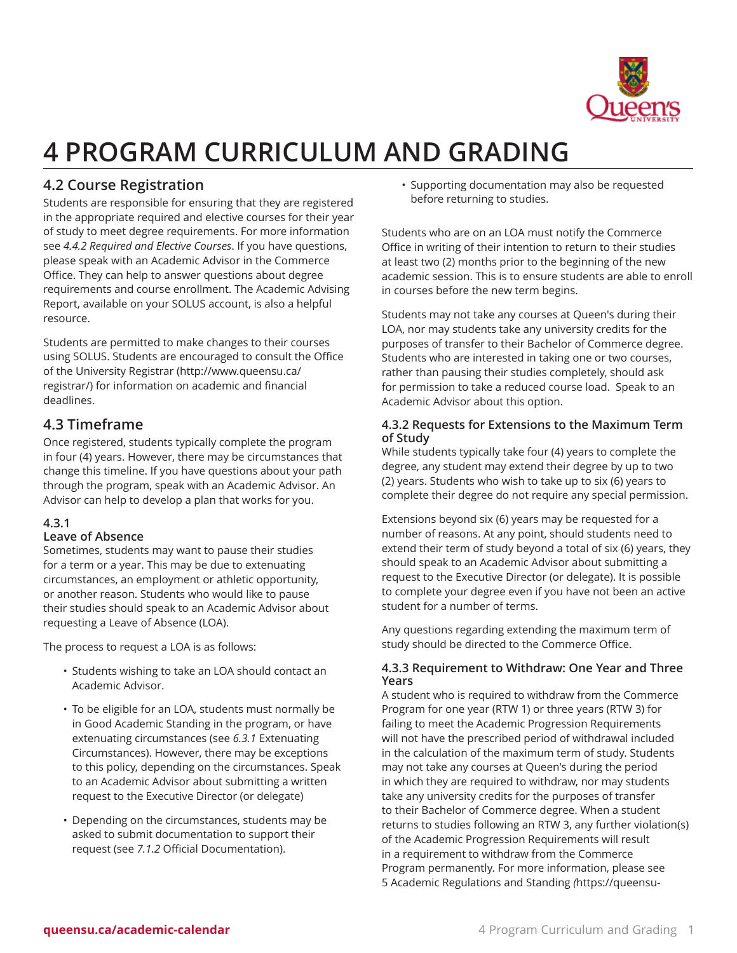

# **4 PROGRAM CURRICULUM AND GRADING**

# **4.2 Course Registration**

Students are responsible for ensuring that they are registered in the appropriate required and elective courses for their year of study to meet degree requirements. For more information see *4.4.2 Required and Elective Courses*. If you have questions, please speak with an Academic Advisor in the Commerce Office. They can help to answer questions about degree requirements and course enrollment. The Academic Advising Report, available on your SOLUS account, is also a helpful resource.

Students are permitted to make changes to their courses using SOLUS. Students are encouraged to consult the [Office](http://www.queensu.ca/registrar/) of the [University](http://www.queensu.ca/registrar/) Registrar [\(http://www.queensu.ca/](http://www.queensu.ca/registrar/) [registrar/\)](http://www.queensu.ca/registrar/) for information on academic and financial deadlines.

# **4.3 Timeframe**

Once registered, students typically complete the program in four (4) years. However, there may be circumstances that change this timeline. If you have questions about your path through the program, speak with an Academic Advisor. An Advisor can help to develop a plan that works for you.

## **4.3.1**

## **Leave of Absence**

Sometimes, students may want to pause their studies for a term or a year. This may be due to extenuating circumstances, an employment or athletic opportunity, or another reason. Students who would like to pause their studies should speak to an Academic Advisor about requesting a Leave of Absence (LOA).

The process to request a LOA is as follows:

- Students wishing to take an LOA should contact an Academic Advisor.
- To be eligible for an LOA, students must normally be in Good Academic Standing in the program, or have extenuating circumstances (see *6.3.1* Extenuating Circumstances). However, there may be exceptions to this policy, depending on the circumstances. Speak to an Academic Advisor about submitting a written request to the Executive Director (or delegate)
- Depending on the circumstances, students may be asked to submit documentation to support their request (see *7.1.2* Official Documentation).

• Supporting documentation may also be requested before returning to studies.

Students who are on an LOA must notify the Commerce Office in writing of their intention to return to their studies at least two (2) months prior to the beginning of the new academic session. This is to ensure students are able to enroll in courses before the new term begins.

Students may not take any courses at Queen's during their LOA, nor may students take any university credits for the purposes of transfer to their Bachelor of Commerce degree. Students who are interested in taking one or two courses, rather than pausing their studies completely, should ask for permission to take a reduced course load. Speak to an Academic Advisor about this option.

### **4.3.2 Requests for Extensions to the Maximum Term of Study**

While students typically take four (4) years to complete the degree, any student may extend their degree by up to two (2) years. Students who wish to take up to six (6) years to complete their degree do not require any special permission.

Extensions beyond six (6) years may be requested for a number of reasons. At any point, should students need to extend their term of study beyond a total of six (6) years, they should speak to an Academic Advisor about submitting a request to the Executive Director (or delegate). It is possible to complete your degree even if you have not been an active student for a number of terms.

Any questions regarding extending the maximum term of study should be directed to the Commerce Office.

### **4.3.3 Requirement to Withdraw: One Year and Three Years**

A student who is required to withdraw from the Commerce Program for one year (RTW 1) or three years (RTW 3) for failing to meet the Academic Progression Requirements will not have the prescribed period of withdrawal included in the calculation of the maximum term of study. Students may not take any courses at Queen's during the period in which they are required to withdraw, nor may students take any university credits for the purposes of transfer to their Bachelor of Commerce degree. When a student returns to studies following an RTW 3, any further violation(s) of the Academic Progression Requirements will result in a requirement to withdraw from the Commerce Program permanently. For more information, please see [5 Academic Regulations and Standing](https://queensu-ca-public.courseleaf.com/business/bachelor-commerce/academic-regulations/) *(*[https://queensu-](https://queensu-ca-public.courseleaf.com/business/bachelor-commerce/academic-regulations/)